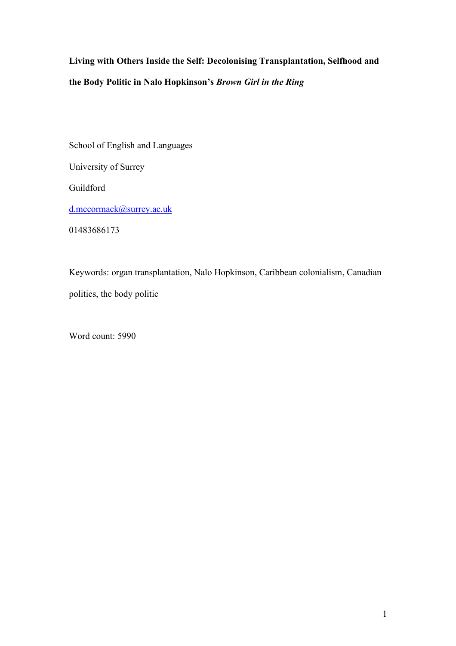**Living with Others Inside the Self: Decolonising Transplantation, Selfhood and the Body Politic in Nalo Hopkinson's** *Brown Girl in the Ring*

School of English and Languages University of Surrey Guildford [d.mccormack@surrey.ac.uk](mailto:d.mccormack@surrey.ac.uk) 01483686173

Keywords: organ transplantation, Nalo Hopkinson, Caribbean colonialism, Canadian politics, the body politic

Word count: 5990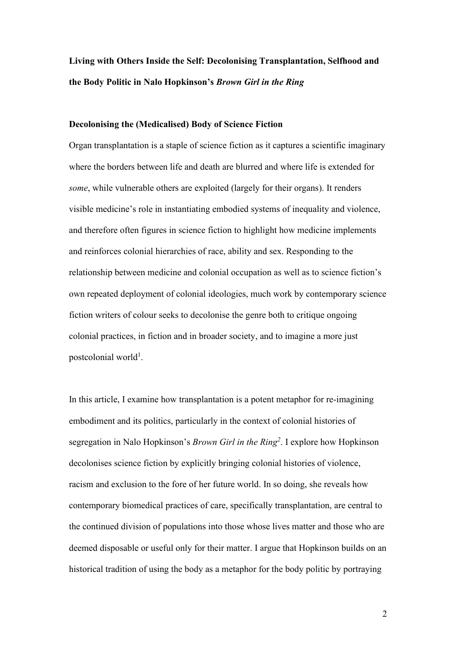# **Living with Others Inside the Self: Decolonising Transplantation, Selfhood and the Body Politic in Nalo Hopkinson's** *Brown Girl in the Ring*

## **Decolonising the (Medicalised) Body of Science Fiction**

Organ transplantation is a staple of science fiction as it captures a scientific imaginary where the borders between life and death are blurred and where life is extended for *some*, while vulnerable others are exploited (largely for their organs). It renders visible medicine's role in instantiating embodied systems of inequality and violence, and therefore often figures in science fiction to highlight how medicine implements and reinforces colonial hierarchies of race, ability and sex. Responding to the relationship between medicine and colonial occupation as well as to science fiction's own repeated deployment of colonial ideologies, much work by contemporary science fiction writers of colour seeks to decolonise the genre both to critique ongoing colonial practices, in fiction and in broader society, and to imagine a more just postcolonial world<sup>1</sup>.

In this article, I examine how transplantation is a potent metaphor for re-imagining embodiment and its politics, particularly in the context of colonial histories of segregation in Nalo Hopkinson's *Brown Girl in the Ring<sup>2</sup>* . I explore how Hopkinson decolonises science fiction by explicitly bringing colonial histories of violence, racism and exclusion to the fore of her future world. In so doing, she reveals how contemporary biomedical practices of care, specifically transplantation, are central to the continued division of populations into those whose lives matter and those who are deemed disposable or useful only for their matter. I argue that Hopkinson builds on an historical tradition of using the body as a metaphor for the body politic by portraying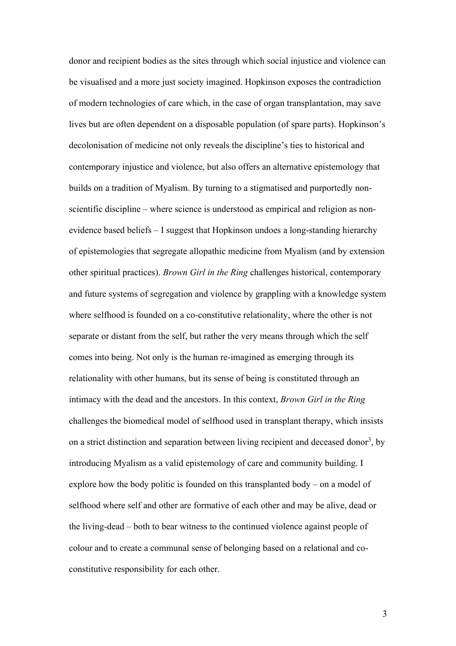donor and recipient bodies as the sites through which social injustice and violence can be visualised and a more just society imagined. Hopkinson exposes the contradiction of modern technologies of care which, in the case of organ transplantation, may save lives but are often dependent on a disposable population (of spare parts). Hopkinson's decolonisation of medicine not only reveals the discipline's ties to historical and contemporary injustice and violence, but also offers an alternative epistemology that builds on a tradition of Myalism. By turning to a stigmatised and purportedly nonscientific discipline – where science is understood as empirical and religion as nonevidence based beliefs – I suggest that Hopkinson undoes a long-standing hierarchy of epistemologies that segregate allopathic medicine from Myalism (and by extension other spiritual practices). *Brown Girl in the Ring* challenges historical, contemporary and future systems of segregation and violence by grappling with a knowledge system where selfhood is founded on a co-constitutive relationality, where the other is not separate or distant from the self, but rather the very means through which the self comes into being. Not only is the human re-imagined as emerging through its relationality with other humans, but its sense of being is constituted through an intimacy with the dead and the ancestors. In this context, *Brown Girl in the Ring* challenges the biomedical model of selfhood used in transplant therapy, which insists on a strict distinction and separation between living recipient and deceased donor<sup>3</sup>, by introducing Myalism as a valid epistemology of care and community building. I explore how the body politic is founded on this transplanted body – on a model of selfhood where self and other are formative of each other and may be alive, dead or the living-dead – both to bear witness to the continued violence against people of colour and to create a communal sense of belonging based on a relational and coconstitutive responsibility for each other.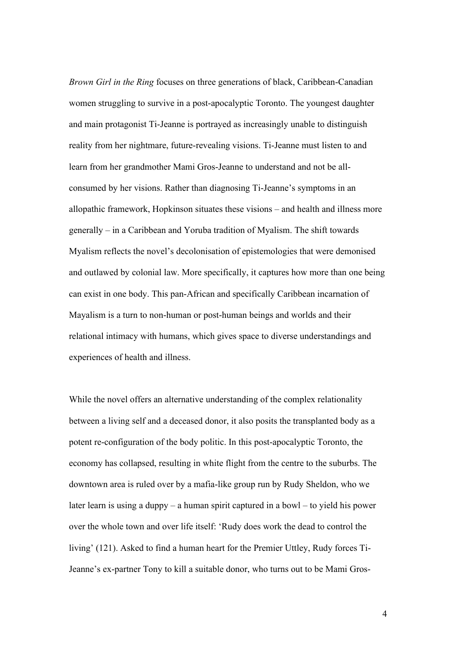*Brown Girl in the Ring* focuses on three generations of black, Caribbean-Canadian women struggling to survive in a post-apocalyptic Toronto. The youngest daughter and main protagonist Ti-Jeanne is portrayed as increasingly unable to distinguish reality from her nightmare, future-revealing visions. Ti-Jeanne must listen to and learn from her grandmother Mami Gros-Jeanne to understand and not be allconsumed by her visions. Rather than diagnosing Ti-Jeanne's symptoms in an allopathic framework, Hopkinson situates these visions – and health and illness more generally – in a Caribbean and Yoruba tradition of Myalism. The shift towards Myalism reflects the novel's decolonisation of epistemologies that were demonised and outlawed by colonial law. More specifically, it captures how more than one being can exist in one body. This pan-African and specifically Caribbean incarnation of Mayalism is a turn to non-human or post-human beings and worlds and their relational intimacy with humans, which gives space to diverse understandings and experiences of health and illness.

While the novel offers an alternative understanding of the complex relationality between a living self and a deceased donor, it also posits the transplanted body as a potent re-configuration of the body politic. In this post-apocalyptic Toronto, the economy has collapsed, resulting in white flight from the centre to the suburbs. The downtown area is ruled over by a mafia-like group run by Rudy Sheldon, who we later learn is using a duppy – a human spirit captured in a bowl – to yield his power over the whole town and over life itself: 'Rudy does work the dead to control the living' (121). Asked to find a human heart for the Premier Uttley, Rudy forces Ti-Jeanne's ex-partner Tony to kill a suitable donor, who turns out to be Mami Gros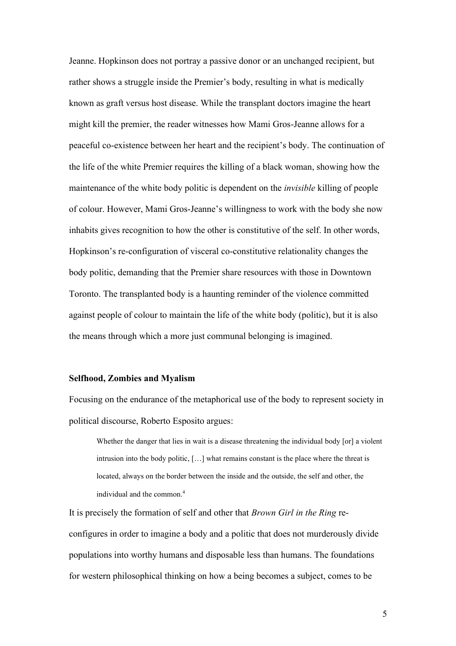Jeanne. Hopkinson does not portray a passive donor or an unchanged recipient, but rather shows a struggle inside the Premier's body, resulting in what is medically known as graft versus host disease. While the transplant doctors imagine the heart might kill the premier, the reader witnesses how Mami Gros-Jeanne allows for a peaceful co-existence between her heart and the recipient's body. The continuation of the life of the white Premier requires the killing of a black woman, showing how the maintenance of the white body politic is dependent on the *invisible* killing of people of colour. However, Mami Gros-Jeanne's willingness to work with the body she now inhabits gives recognition to how the other is constitutive of the self. In other words, Hopkinson's re-configuration of visceral co-constitutive relationality changes the body politic, demanding that the Premier share resources with those in Downtown Toronto. The transplanted body is a haunting reminder of the violence committed against people of colour to maintain the life of the white body (politic), but it is also the means through which a more just communal belonging is imagined.

#### **Selfhood, Zombies and Myalism**

Focusing on the endurance of the metaphorical use of the body to represent society in political discourse, Roberto Esposito argues:

Whether the danger that lies in wait is a disease threatening the individual body [or] a violent intrusion into the body politic, […] what remains constant is the place where the threat is located, always on the border between the inside and the outside, the self and other, the individual and the common.<sup>4</sup>

It is precisely the formation of self and other that *Brown Girl in the Ring* reconfigures in order to imagine a body and a politic that does not murderously divide populations into worthy humans and disposable less than humans. The foundations for western philosophical thinking on how a being becomes a subject, comes to be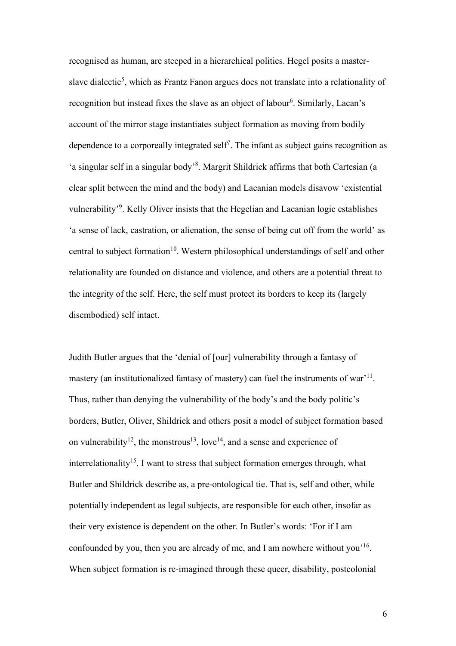recognised as human, are steeped in a hierarchical politics. Hegel posits a masterslave dialectic<sup>5</sup>, which as Frantz Fanon argues does not translate into a relationality of recognition but instead fixes the slave as an object of labour<sup>6</sup>. Similarly, Lacan's account of the mirror stage instantiates subject formation as moving from bodily dependence to a corporeally integrated self<sup>7</sup>. The infant as subject gains recognition as 'a singular self in a singular body'<sup>8</sup>. Margrit Shildrick affirms that both Cartesian (a clear split between the mind and the body) and Lacanian models disavow 'existential vulnerability'<sup>9</sup>. Kelly Oliver insists that the Hegelian and Lacanian logic establishes 'a sense of lack, castration, or alienation, the sense of being cut off from the world' as central to subject formation<sup>10</sup>. Western philosophical understandings of self and other relationality are founded on distance and violence, and others are a potential threat to the integrity of the self. Here, the self must protect its borders to keep its (largely disembodied) self intact.

Judith Butler argues that the 'denial of [our] vulnerability through a fantasy of mastery (an institutionalized fantasy of mastery) can fuel the instruments of war'<sup>11</sup>. Thus, rather than denying the vulnerability of the body's and the body politic's borders, Butler, Oliver, Shildrick and others posit a model of subject formation based on vulnerability<sup>12</sup>, the monstrous<sup>13</sup>, love<sup>14</sup>, and a sense and experience of interrelationality<sup>15</sup>. I want to stress that subject formation emerges through, what Butler and Shildrick describe as, a pre-ontological tie. That is, self and other, while potentially independent as legal subjects, are responsible for each other, insofar as their very existence is dependent on the other. In Butler's words: 'For if I am confounded by you, then you are already of me, and I am nowhere without you<sup> $16$ </sup>. When subject formation is re-imagined through these queer, disability, postcolonial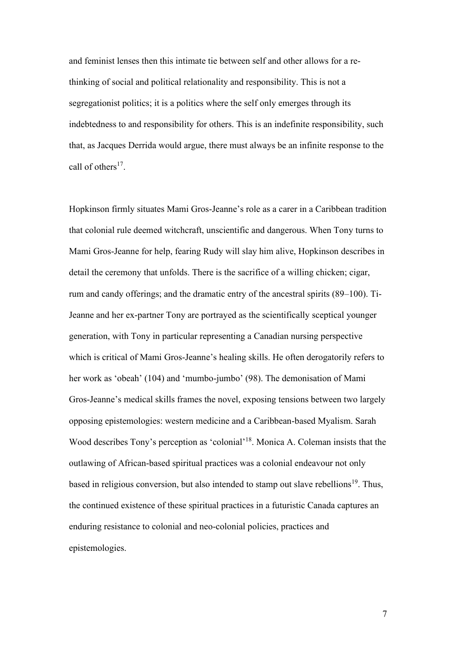and feminist lenses then this intimate tie between self and other allows for a rethinking of social and political relationality and responsibility. This is not a segregationist politics; it is a politics where the self only emerges through its indebtedness to and responsibility for others. This is an indefinite responsibility, such that, as Jacques Derrida would argue, there must always be an infinite response to the call of others<sup>17</sup>.

Hopkinson firmly situates Mami Gros-Jeanne's role as a carer in a Caribbean tradition that colonial rule deemed witchcraft, unscientific and dangerous. When Tony turns to Mami Gros-Jeanne for help, fearing Rudy will slay him alive, Hopkinson describes in detail the ceremony that unfolds. There is the sacrifice of a willing chicken; cigar, rum and candy offerings; and the dramatic entry of the ancestral spirits (89–100). Ti-Jeanne and her ex-partner Tony are portrayed as the scientifically sceptical younger generation, with Tony in particular representing a Canadian nursing perspective which is critical of Mami Gros-Jeanne's healing skills. He often derogatorily refers to her work as 'obeah' (104) and 'mumbo-jumbo' (98). The demonisation of Mami Gros-Jeanne's medical skills frames the novel, exposing tensions between two largely opposing epistemologies: western medicine and a Caribbean-based Myalism. Sarah Wood describes Tony's perception as 'colonial'<sup>18</sup>. Monica A. Coleman insists that the outlawing of African-based spiritual practices was a colonial endeavour not only based in religious conversion, but also intended to stamp out slave rebellions<sup>19</sup>. Thus, the continued existence of these spiritual practices in a futuristic Canada captures an enduring resistance to colonial and neo-colonial policies, practices and epistemologies.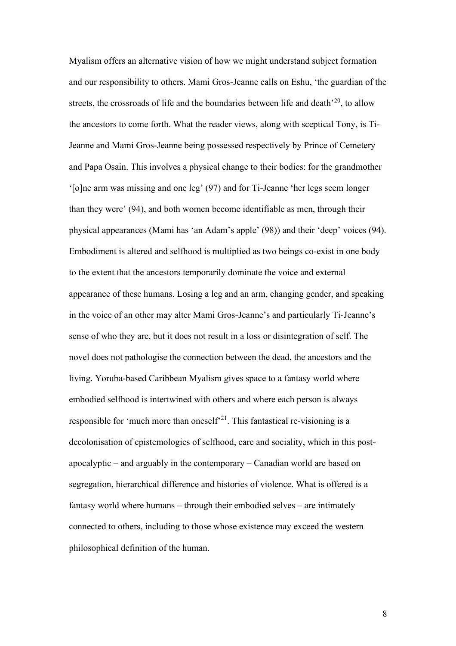Myalism offers an alternative vision of how we might understand subject formation and our responsibility to others. Mami Gros-Jeanne calls on Eshu, 'the guardian of the streets, the crossroads of life and the boundaries between life and death<sup>'20</sup>, to allow the ancestors to come forth. What the reader views, along with sceptical Tony, is Ti-Jeanne and Mami Gros-Jeanne being possessed respectively by Prince of Cemetery and Papa Osain. This involves a physical change to their bodies: for the grandmother '[o]ne arm was missing and one leg' (97) and for Ti-Jeanne 'her legs seem longer than they were' (94), and both women become identifiable as men, through their physical appearances (Mami has 'an Adam's apple' (98)) and their 'deep' voices (94). Embodiment is altered and selfhood is multiplied as two beings co-exist in one body to the extent that the ancestors temporarily dominate the voice and external appearance of these humans. Losing a leg and an arm, changing gender, and speaking in the voice of an other may alter Mami Gros-Jeanne's and particularly Ti-Jeanne's sense of who they are, but it does not result in a loss or disintegration of self. The novel does not pathologise the connection between the dead, the ancestors and the living. Yoruba-based Caribbean Myalism gives space to a fantasy world where embodied selfhood is intertwined with others and where each person is always responsible for 'much more than oneself<sup>21</sup>. This fantastical re-visioning is a decolonisation of epistemologies of selfhood, care and sociality, which in this postapocalyptic – and arguably in the contemporary – Canadian world are based on segregation, hierarchical difference and histories of violence. What is offered is a fantasy world where humans – through their embodied selves – are intimately connected to others, including to those whose existence may exceed the western philosophical definition of the human.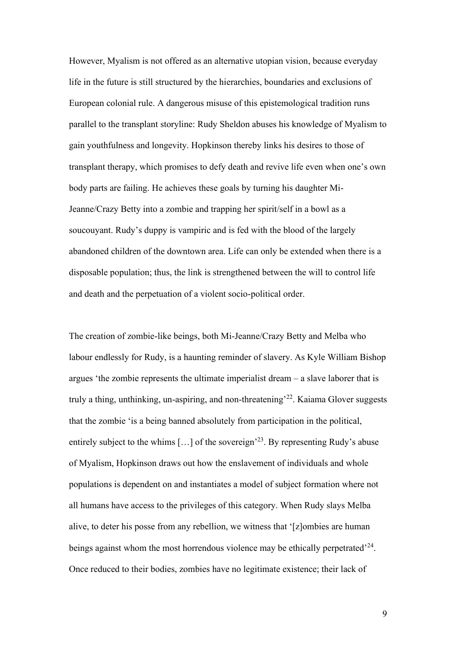However, Myalism is not offered as an alternative utopian vision, because everyday life in the future is still structured by the hierarchies, boundaries and exclusions of European colonial rule. A dangerous misuse of this epistemological tradition runs parallel to the transplant storyline: Rudy Sheldon abuses his knowledge of Myalism to gain youthfulness and longevity. Hopkinson thereby links his desires to those of transplant therapy, which promises to defy death and revive life even when one's own body parts are failing. He achieves these goals by turning his daughter Mi-Jeanne/Crazy Betty into a zombie and trapping her spirit/self in a bowl as a soucouyant. Rudy's duppy is vampiric and is fed with the blood of the largely abandoned children of the downtown area. Life can only be extended when there is a disposable population; thus, the link is strengthened between the will to control life and death and the perpetuation of a violent socio-political order.

The creation of zombie-like beings, both Mi-Jeanne/Crazy Betty and Melba who labour endlessly for Rudy, is a haunting reminder of slavery. As Kyle William Bishop argues 'the zombie represents the ultimate imperialist dream – a slave laborer that is truly a thing, unthinking, un-aspiring, and non-threatening<sup>22</sup>. Kaiama Glover suggests that the zombie 'is a being banned absolutely from participation in the political, entirely subject to the whims  $[...]$  of the sovereign<sup>23</sup>. By representing Rudy's abuse of Myalism, Hopkinson draws out how the enslavement of individuals and whole populations is dependent on and instantiates a model of subject formation where not all humans have access to the privileges of this category. When Rudy slays Melba alive, to deter his posse from any rebellion, we witness that '[z]ombies are human beings against whom the most horrendous violence may be ethically perpetrated<sup> $24$ </sup>. Once reduced to their bodies, zombies have no legitimate existence; their lack of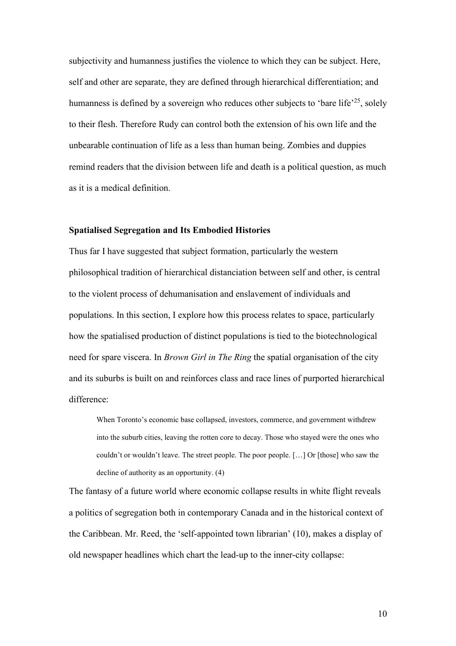subjectivity and humanness justifies the violence to which they can be subject. Here, self and other are separate, they are defined through hierarchical differentiation; and humanness is defined by a sovereign who reduces other subjects to 'bare life'<sup>25</sup>, solely to their flesh. Therefore Rudy can control both the extension of his own life and the unbearable continuation of life as a less than human being. Zombies and duppies remind readers that the division between life and death is a political question, as much as it is a medical definition.

## **Spatialised Segregation and Its Embodied Histories**

Thus far I have suggested that subject formation, particularly the western philosophical tradition of hierarchical distanciation between self and other, is central to the violent process of dehumanisation and enslavement of individuals and populations. In this section, I explore how this process relates to space, particularly how the spatialised production of distinct populations is tied to the biotechnological need for spare viscera. In *Brown Girl in The Ring* the spatial organisation of the city and its suburbs is built on and reinforces class and race lines of purported hierarchical difference:

When Toronto's economic base collapsed, investors, commerce, and government withdrew into the suburb cities, leaving the rotten core to decay. Those who stayed were the ones who couldn't or wouldn't leave. The street people. The poor people. […] Or [those] who saw the decline of authority as an opportunity. (4)

The fantasy of a future world where economic collapse results in white flight reveals a politics of segregation both in contemporary Canada and in the historical context of the Caribbean. Mr. Reed, the 'self-appointed town librarian' (10), makes a display of old newspaper headlines which chart the lead-up to the inner-city collapse: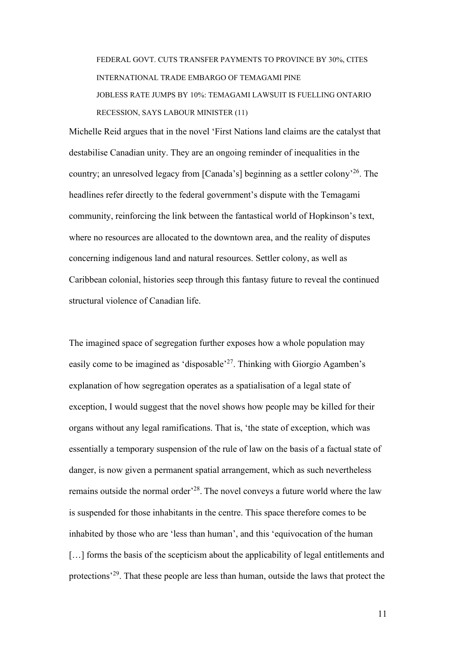FEDERAL GOVT. CUTS TRANSFER PAYMENTS TO PROVINCE BY 30%, CITES INTERNATIONAL TRADE EMBARGO OF TEMAGAMI PINE JOBLESS RATE JUMPS BY 10%: TEMAGAMI LAWSUIT IS FUELLING ONTARIO RECESSION, SAYS LABOUR MINISTER (11)

Michelle Reid argues that in the novel 'First Nations land claims are the catalyst that destabilise Canadian unity. They are an ongoing reminder of inequalities in the country; an unresolved legacy from [Canada's] beginning as a settler colony'<sup>26</sup>. The headlines refer directly to the federal government's dispute with the Temagami community, reinforcing the link between the fantastical world of Hopkinson's text, where no resources are allocated to the downtown area, and the reality of disputes concerning indigenous land and natural resources. Settler colony, as well as Caribbean colonial, histories seep through this fantasy future to reveal the continued structural violence of Canadian life.

The imagined space of segregation further exposes how a whole population may easily come to be imagined as 'disposable'<sup>27</sup>. Thinking with Giorgio Agamben's explanation of how segregation operates as a spatialisation of a legal state of exception, I would suggest that the novel shows how people may be killed for their organs without any legal ramifications. That is, 'the state of exception, which was essentially a temporary suspension of the rule of law on the basis of a factual state of danger, is now given a permanent spatial arrangement, which as such nevertheless remains outside the normal order<sup>, 28</sup>. The novel conveys a future world where the law is suspended for those inhabitants in the centre. This space therefore comes to be inhabited by those who are 'less than human', and this 'equivocation of the human [...] forms the basis of the scepticism about the applicability of legal entitlements and protections'<sup>29</sup>. That these people are less than human, outside the laws that protect the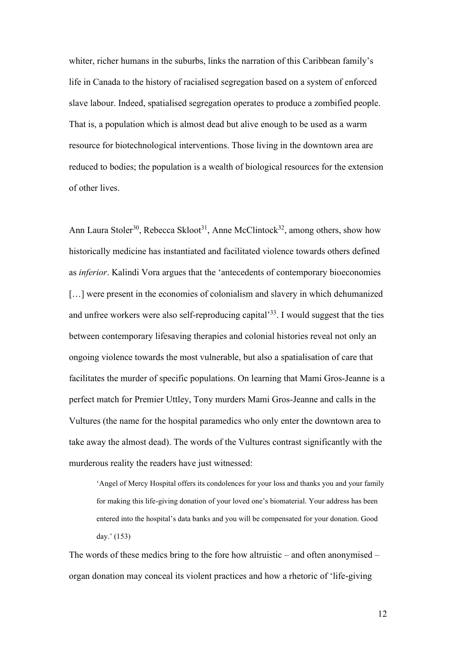whiter, richer humans in the suburbs, links the narration of this Caribbean family's life in Canada to the history of racialised segregation based on a system of enforced slave labour. Indeed, spatialised segregation operates to produce a zombified people. That is, a population which is almost dead but alive enough to be used as a warm resource for biotechnological interventions. Those living in the downtown area are reduced to bodies; the population is a wealth of biological resources for the extension of other lives.

Ann Laura Stoler<sup>30</sup>, Rebecca Skloot<sup>31</sup>, Anne McClintock<sup>32</sup>, among others, show how historically medicine has instantiated and facilitated violence towards others defined as *inferior*. Kalindi Vora argues that the 'antecedents of contemporary bioeconomies [...] were present in the economies of colonialism and slavery in which dehumanized and unfree workers were also self-reproducing capital<sup>333</sup>. I would suggest that the ties between contemporary lifesaving therapies and colonial histories reveal not only an ongoing violence towards the most vulnerable, but also a spatialisation of care that facilitates the murder of specific populations. On learning that Mami Gros-Jeanne is a perfect match for Premier Uttley, Tony murders Mami Gros-Jeanne and calls in the Vultures (the name for the hospital paramedics who only enter the downtown area to take away the almost dead). The words of the Vultures contrast significantly with the murderous reality the readers have just witnessed:

'Angel of Mercy Hospital offers its condolences for your loss and thanks you and your family for making this life-giving donation of your loved one's biomaterial. Your address has been entered into the hospital's data banks and you will be compensated for your donation. Good day.' (153)

The words of these medics bring to the fore how altruistic – and often anonymised – organ donation may conceal its violent practices and how a rhetoric of 'life-giving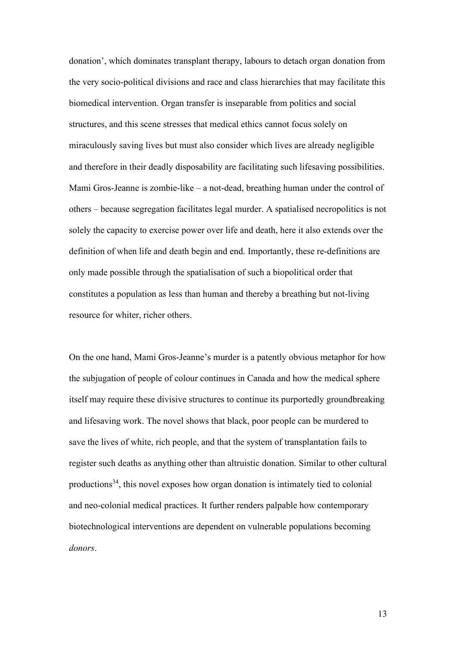donation', which dominates transplant therapy, labours to detach organ donation from the very socio-political divisions and race and class hierarchies that may facilitate this biomedical intervention. Organ transfer is inseparable from politics and social structures, and this scene stresses that medical ethics cannot focus solely on miraculously saving lives but must also consider which lives are already negligible and therefore in their deadly disposability are facilitating such lifesaving possibilities. Mami Gros-Jeanne is zombie-like – a not-dead, breathing human under the control of others – because segregation facilitates legal murder. A spatialised necropolitics is not solely the capacity to exercise power over life and death, here it also extends over the definition of when life and death begin and end. Importantly, these re-definitions are only made possible through the spatialisation of such a biopolitical order that constitutes a population as less than human and thereby a breathing but not-living resource for whiter, richer others.

On the one hand, Mami Gros-Jeanne's murder is a patently obvious metaphor for how the subjugation of people of colour continues in Canada and how the medical sphere itself may require these divisive structures to continue its purportedly groundbreaking and lifesaving work. The novel shows that black, poor people can be murdered to save the lives of white, rich people, and that the system of transplantation fails to register such deaths as anything other than altruistic donation. Similar to other cultural productions<sup>34</sup>, this novel exposes how organ donation is intimately tied to colonial and neo-colonial medical practices. It further renders palpable how contemporary biotechnological interventions are dependent on vulnerable populations becoming *donors*.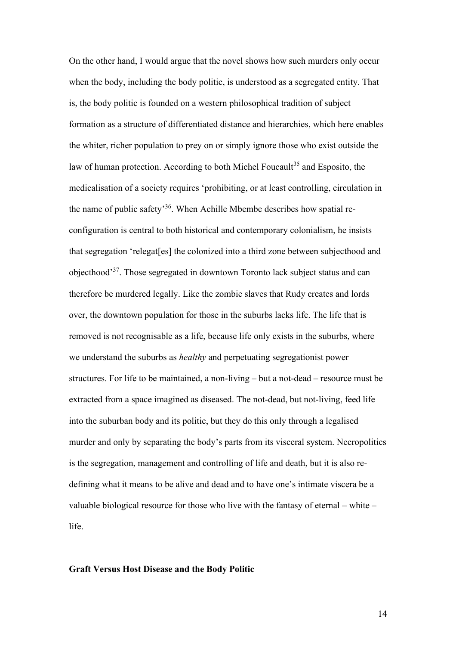On the other hand, I would argue that the novel shows how such murders only occur when the body, including the body politic, is understood as a segregated entity. That is, the body politic is founded on a western philosophical tradition of subject formation as a structure of differentiated distance and hierarchies, which here enables the whiter, richer population to prey on or simply ignore those who exist outside the law of human protection. According to both Michel Foucault<sup>35</sup> and Esposito, the medicalisation of a society requires 'prohibiting, or at least controlling, circulation in the name of public safety<sup>36</sup>. When Achille Mbembe describes how spatial reconfiguration is central to both historical and contemporary colonialism, he insists that segregation 'relegat[es] the colonized into a third zone between subjecthood and objecthood'<sup>37</sup>. Those segregated in downtown Toronto lack subject status and can therefore be murdered legally. Like the zombie slaves that Rudy creates and lords over, the downtown population for those in the suburbs lacks life. The life that is removed is not recognisable as a life, because life only exists in the suburbs, where we understand the suburbs as *healthy* and perpetuating segregationist power structures. For life to be maintained, a non-living – but a not-dead – resource must be extracted from a space imagined as diseased. The not-dead, but not-living, feed life into the suburban body and its politic, but they do this only through a legalised murder and only by separating the body's parts from its visceral system. Necropolitics is the segregation, management and controlling of life and death, but it is also redefining what it means to be alive and dead and to have one's intimate viscera be a valuable biological resource for those who live with the fantasy of eternal – white – life.

## **Graft Versus Host Disease and the Body Politic**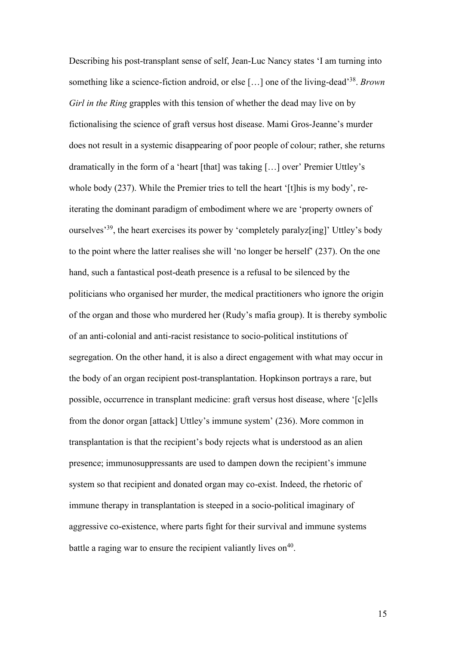Describing his post-transplant sense of self, Jean-Luc Nancy states 'I am turning into something like a science-fiction android, or else […] one of the living-dead'<sup>38</sup> . *Brown Girl in the Ring* grapples with this tension of whether the dead may live on by fictionalising the science of graft versus host disease. Mami Gros-Jeanne's murder does not result in a systemic disappearing of poor people of colour; rather, she returns dramatically in the form of a 'heart [that] was taking […] over' Premier Uttley's whole body (237). While the Premier tries to tell the heart '[t]his is my body', reiterating the dominant paradigm of embodiment where we are 'property owners of ourselves'<sup>39</sup>, the heart exercises its power by 'completely paralyz[ing]' Uttley's body to the point where the latter realises she will 'no longer be herself' (237). On the one hand, such a fantastical post-death presence is a refusal to be silenced by the politicians who organised her murder, the medical practitioners who ignore the origin of the organ and those who murdered her (Rudy's mafia group). It is thereby symbolic of an anti-colonial and anti-racist resistance to socio-political institutions of segregation. On the other hand, it is also a direct engagement with what may occur in the body of an organ recipient post-transplantation. Hopkinson portrays a rare, but possible, occurrence in transplant medicine: graft versus host disease, where '[c]ells from the donor organ [attack] Uttley's immune system' (236). More common in transplantation is that the recipient's body rejects what is understood as an alien presence; immunosuppressants are used to dampen down the recipient's immune system so that recipient and donated organ may co-exist. Indeed, the rhetoric of immune therapy in transplantation is steeped in a socio-political imaginary of aggressive co-existence, where parts fight for their survival and immune systems battle a raging war to ensure the recipient valiantly lives on<sup>40</sup>.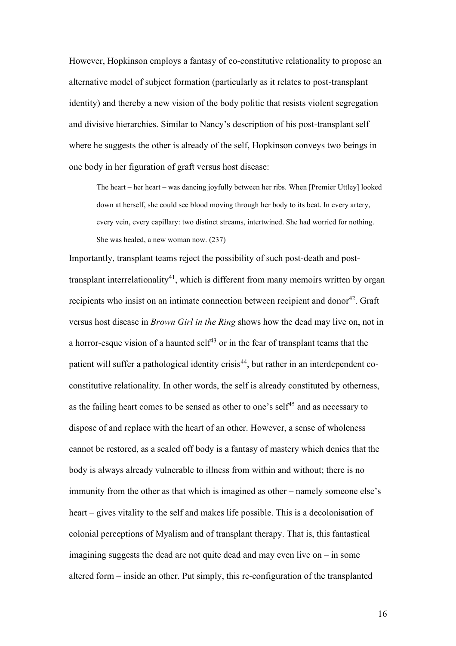However, Hopkinson employs a fantasy of co-constitutive relationality to propose an alternative model of subject formation (particularly as it relates to post-transplant identity) and thereby a new vision of the body politic that resists violent segregation and divisive hierarchies. Similar to Nancy's description of his post-transplant self where he suggests the other is already of the self, Hopkinson conveys two beings in one body in her figuration of graft versus host disease:

The heart – her heart – was dancing joyfully between her ribs. When [Premier Uttley] looked down at herself, she could see blood moving through her body to its beat. In every artery, every vein, every capillary: two distinct streams, intertwined. She had worried for nothing. She was healed, a new woman now. (237)

Importantly, transplant teams reject the possibility of such post-death and posttransplant interrelationality<sup>41</sup>, which is different from many memoirs written by organ recipients who insist on an intimate connection between recipient and donor<sup>42</sup>. Graft versus host disease in *Brown Girl in the Ring* shows how the dead may live on, not in a horror-esque vision of a haunted self<sup> $43$ </sup> or in the fear of transplant teams that the patient will suffer a pathological identity crisis<sup>44</sup>, but rather in an interdependent coconstitutive relationality. In other words, the self is already constituted by otherness, as the failing heart comes to be sensed as other to one's self<sup>45</sup> and as necessary to dispose of and replace with the heart of an other. However, a sense of wholeness cannot be restored, as a sealed off body is a fantasy of mastery which denies that the body is always already vulnerable to illness from within and without; there is no immunity from the other as that which is imagined as other – namely someone else's heart – gives vitality to the self and makes life possible. This is a decolonisation of colonial perceptions of Myalism and of transplant therapy. That is, this fantastical imagining suggests the dead are not quite dead and may even live on – in some altered form – inside an other. Put simply, this re-configuration of the transplanted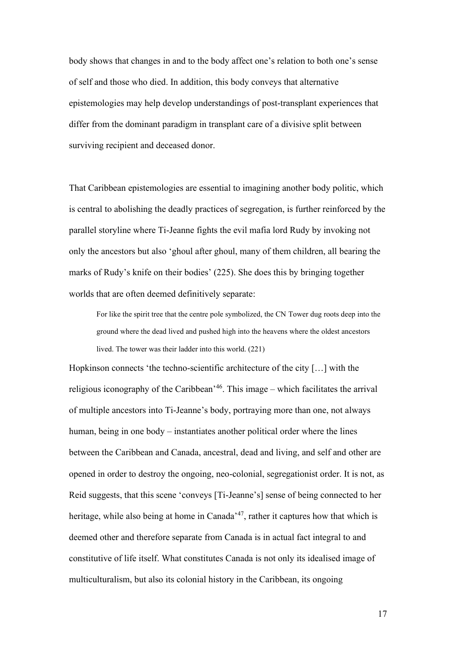body shows that changes in and to the body affect one's relation to both one's sense of self and those who died. In addition, this body conveys that alternative epistemologies may help develop understandings of post-transplant experiences that differ from the dominant paradigm in transplant care of a divisive split between surviving recipient and deceased donor.

That Caribbean epistemologies are essential to imagining another body politic, which is central to abolishing the deadly practices of segregation, is further reinforced by the parallel storyline where Ti-Jeanne fights the evil mafia lord Rudy by invoking not only the ancestors but also 'ghoul after ghoul, many of them children, all bearing the marks of Rudy's knife on their bodies' (225). She does this by bringing together worlds that are often deemed definitively separate:

For like the spirit tree that the centre pole symbolized, the CN Tower dug roots deep into the ground where the dead lived and pushed high into the heavens where the oldest ancestors lived. The tower was their ladder into this world. (221)

Hopkinson connects 'the techno-scientific architecture of the city […] with the religious iconography of the Caribbean<sup>, 46</sup>. This image – which facilitates the arrival of multiple ancestors into Ti-Jeanne's body, portraying more than one, not always human, being in one body – instantiates another political order where the lines between the Caribbean and Canada, ancestral, dead and living, and self and other are opened in order to destroy the ongoing, neo-colonial, segregationist order. It is not, as Reid suggests, that this scene 'conveys [Ti-Jeanne's] sense of being connected to her heritage, while also being at home in Canada<sup>347</sup>, rather it captures how that which is deemed other and therefore separate from Canada is in actual fact integral to and constitutive of life itself. What constitutes Canada is not only its idealised image of multiculturalism, but also its colonial history in the Caribbean, its ongoing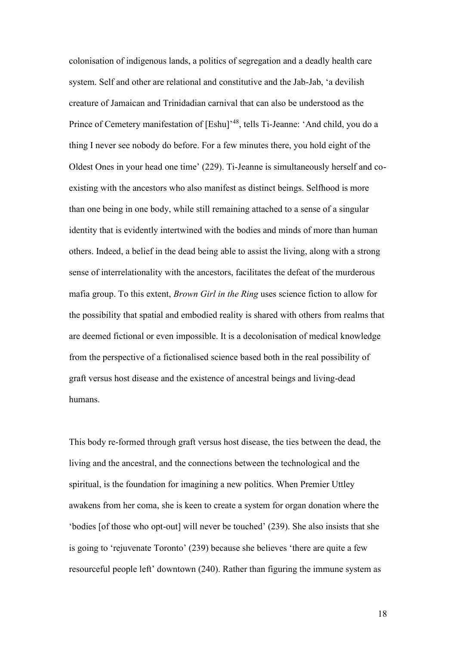colonisation of indigenous lands, a politics of segregation and a deadly health care system. Self and other are relational and constitutive and the Jab-Jab, 'a devilish creature of Jamaican and Trinidadian carnival that can also be understood as the Prince of Cemetery manifestation of [Eshu]<sup>148</sup>, tells Ti-Jeanne: 'And child, you do a thing I never see nobody do before. For a few minutes there, you hold eight of the Oldest Ones in your head one time' (229). Ti-Jeanne is simultaneously herself and coexisting with the ancestors who also manifest as distinct beings. Selfhood is more than one being in one body, while still remaining attached to a sense of a singular identity that is evidently intertwined with the bodies and minds of more than human others. Indeed, a belief in the dead being able to assist the living, along with a strong sense of interrelationality with the ancestors, facilitates the defeat of the murderous mafia group. To this extent, *Brown Girl in the Ring* uses science fiction to allow for the possibility that spatial and embodied reality is shared with others from realms that are deemed fictional or even impossible. It is a decolonisation of medical knowledge from the perspective of a fictionalised science based both in the real possibility of graft versus host disease and the existence of ancestral beings and living-dead humans.

This body re-formed through graft versus host disease, the ties between the dead, the living and the ancestral, and the connections between the technological and the spiritual, is the foundation for imagining a new politics. When Premier Uttley awakens from her coma, she is keen to create a system for organ donation where the 'bodies [of those who opt-out] will never be touched' (239). She also insists that she is going to 'rejuvenate Toronto' (239) because she believes 'there are quite a few resourceful people left' downtown (240). Rather than figuring the immune system as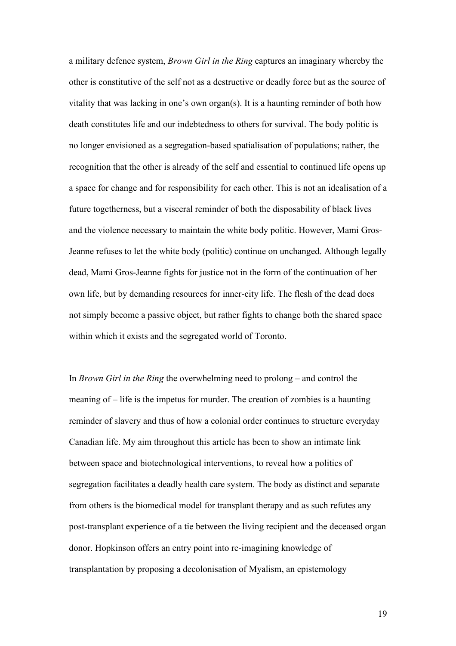a military defence system, *Brown Girl in the Ring* captures an imaginary whereby the other is constitutive of the self not as a destructive or deadly force but as the source of vitality that was lacking in one's own organ(s). It is a haunting reminder of both how death constitutes life and our indebtedness to others for survival. The body politic is no longer envisioned as a segregation-based spatialisation of populations; rather, the recognition that the other is already of the self and essential to continued life opens up a space for change and for responsibility for each other. This is not an idealisation of a future togetherness, but a visceral reminder of both the disposability of black lives and the violence necessary to maintain the white body politic. However, Mami Gros-Jeanne refuses to let the white body (politic) continue on unchanged. Although legally dead, Mami Gros-Jeanne fights for justice not in the form of the continuation of her own life, but by demanding resources for inner-city life. The flesh of the dead does not simply become a passive object, but rather fights to change both the shared space within which it exists and the segregated world of Toronto.

In *Brown Girl in the Ring* the overwhelming need to prolong – and control the meaning of – life is the impetus for murder. The creation of zombies is a haunting reminder of slavery and thus of how a colonial order continues to structure everyday Canadian life. My aim throughout this article has been to show an intimate link between space and biotechnological interventions, to reveal how a politics of segregation facilitates a deadly health care system. The body as distinct and separate from others is the biomedical model for transplant therapy and as such refutes any post-transplant experience of a tie between the living recipient and the deceased organ donor. Hopkinson offers an entry point into re-imagining knowledge of transplantation by proposing a decolonisation of Myalism, an epistemology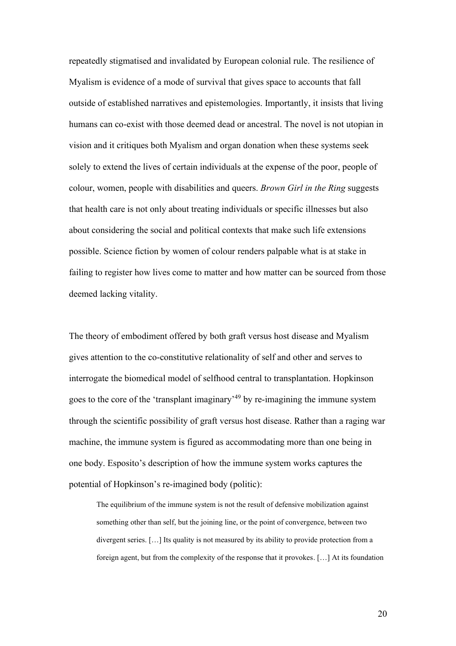repeatedly stigmatised and invalidated by European colonial rule. The resilience of Myalism is evidence of a mode of survival that gives space to accounts that fall outside of established narratives and epistemologies. Importantly, it insists that living humans can co-exist with those deemed dead or ancestral. The novel is not utopian in vision and it critiques both Myalism and organ donation when these systems seek solely to extend the lives of certain individuals at the expense of the poor, people of colour, women, people with disabilities and queers. *Brown Girl in the Ring* suggests that health care is not only about treating individuals or specific illnesses but also about considering the social and political contexts that make such life extensions possible. Science fiction by women of colour renders palpable what is at stake in failing to register how lives come to matter and how matter can be sourced from those deemed lacking vitality.

The theory of embodiment offered by both graft versus host disease and Myalism gives attention to the co-constitutive relationality of self and other and serves to interrogate the biomedical model of selfhood central to transplantation. Hopkinson goes to the core of the 'transplant imaginary'<sup>49</sup> by re-imagining the immune system through the scientific possibility of graft versus host disease. Rather than a raging war machine, the immune system is figured as accommodating more than one being in one body. Esposito's description of how the immune system works captures the potential of Hopkinson's re-imagined body (politic):

The equilibrium of the immune system is not the result of defensive mobilization against something other than self, but the joining line, or the point of convergence, between two divergent series. […] Its quality is not measured by its ability to provide protection from a foreign agent, but from the complexity of the response that it provokes. […] At its foundation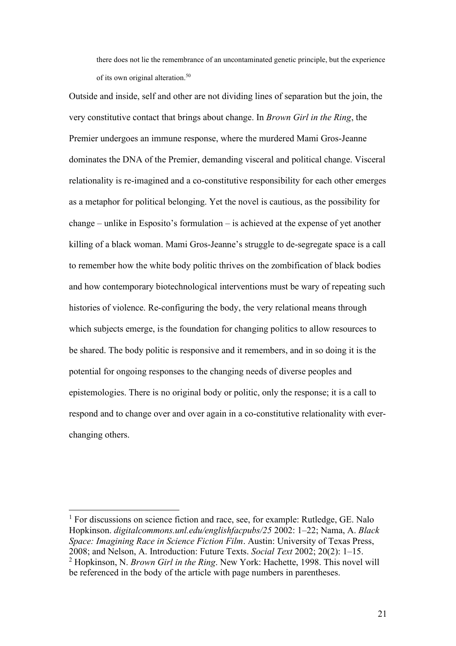there does not lie the remembrance of an uncontaminated genetic principle, but the experience of its own original alteration.<sup>50</sup>

Outside and inside, self and other are not dividing lines of separation but the join, the very constitutive contact that brings about change. In *Brown Girl in the Ring*, the Premier undergoes an immune response, where the murdered Mami Gros-Jeanne dominates the DNA of the Premier, demanding visceral and political change. Visceral relationality is re-imagined and a co-constitutive responsibility for each other emerges as a metaphor for political belonging. Yet the novel is cautious, as the possibility for change – unlike in Esposito's formulation – is achieved at the expense of yet another killing of a black woman. Mami Gros-Jeanne's struggle to de-segregate space is a call to remember how the white body politic thrives on the zombification of black bodies and how contemporary biotechnological interventions must be wary of repeating such histories of violence. Re-configuring the body, the very relational means through which subjects emerge, is the foundation for changing politics to allow resources to be shared. The body politic is responsive and it remembers, and in so doing it is the potential for ongoing responses to the changing needs of diverse peoples and epistemologies. There is no original body or politic, only the response; it is a call to respond and to change over and over again in a co-constitutive relationality with everchanging others.

<sup>&</sup>lt;sup>1</sup> For discussions on science fiction and race, see, for example: Rutledge, GE. Nalo Hopkinson. *digitalcommons.unl.edu/englishfacpubs/25* 2002: 1–22; Nama, A. *Black Space: Imagining Race in Science Fiction Film*. Austin: University of Texas Press, 2008; and Nelson, A. Introduction: Future Texts. *Social Text* 2002; 20(2): 1–15. <sup>2</sup> Hopkinson, N. *Brown Girl in the Ring*. New York: Hachette, 1998. This novel will be referenced in the body of the article with page numbers in parentheses.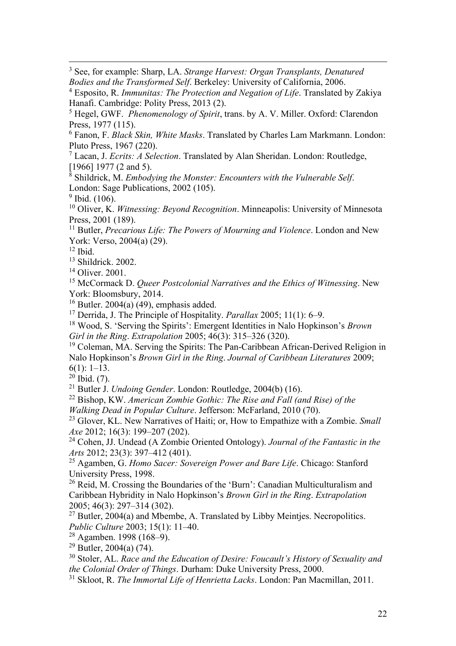<sup>3</sup> See, for example: Sharp, LA. *Strange Harvest: Organ Transplants, Denatured Bodies and the Transformed Self*. Berkeley: University of California, 2006.

<sup>4</sup> Esposito, R. *Immunitas: The Protection and Negation of Life*. Translated by Zakiya Hanafi. Cambridge: Polity Press, 2013 (2).

<sup>5</sup> Hegel, GWF. *Phenomenology of Spirit*, trans. by A. V. Miller. Oxford: Clarendon Press, 1977 (115).

<sup>6</sup> Fanon, F. *Black Skin, White Masks*. Translated by Charles Lam Markmann. London: Pluto Press, 1967 (220).

<sup>7</sup> Lacan, J. *Ecrits: A Selection*. Translated by Alan Sheridan. London: Routledge, [1966] 1977 (2 and 5).

<sup>8</sup> Shildrick, M. *Embodying the Monster: Encounters with the Vulnerable Self*. London: Sage Publications, 2002 (105).

<sup>9</sup> Ibid. (106).

<sup>10</sup> Oliver, K. *Witnessing: Beyond Recognition*. Minneapolis: University of Minnesota Press, 2001 (189).

<sup>11</sup> Butler, *Precarious Life: The Powers of Mourning and Violence*. London and New York: Verso, 2004(a) (29).

 $12$  Ibid.

<sup>13</sup> Shildrick. 2002.

<sup>14</sup> Oliver. 2001.

<sup>15</sup> McCormack D. *Queer Postcolonial Narratives and the Ethics of Witnessing*. New York: Bloomsbury, 2014.

 $16$  Butler. 2004(a) (49), emphasis added.

<sup>17</sup> Derrida, J. The Principle of Hospitality. *Parallax* 2005; 11(1): 6–9.

<sup>18</sup> Wood, S. 'Serving the Spirits': Emergent Identities in Nalo Hopkinson's *Brown Girl in the Ring*. *Extrapolation* 2005; 46(3): 315–326 (320).

<sup>19</sup> Coleman, MA. Serving the Spirits: The Pan-Caribbean African-Derived Religion in Nalo Hopkinson's *Brown Girl in the Ring*. *Journal of Caribbean Literatures* 2009;  $6(1): 1-13.$ 

 $^{20}$  Ibid. (7).

<sup>21</sup> Butler J. *Undoing Gender*. London: Routledge, 2004(b) (16).

<sup>22</sup> Bishop, KW. *American Zombie Gothic: The Rise and Fall (and Rise) of the Walking Dead in Popular Culture*. Jefferson: McFarland, 2010 (70).

<sup>23</sup> Glover, KL. New Narratives of Haiti; or, How to Empathize with a Zombie. *Small Axe* 2012; 16(3): 199–207 (202).

<sup>24</sup> Cohen, JJ. Undead (A Zombie Oriented Ontology). *Journal of the Fantastic in the Arts* 2012; 23(3): 397–412 (401).

<sup>25</sup> Agamben, G. *Homo Sacer: Sovereign Power and Bare Life*. Chicago: Stanford University Press, 1998.

<sup>26</sup> Reid, M. Crossing the Boundaries of the 'Burn': Canadian Multiculturalism and Caribbean Hybridity in Nalo Hopkinson's *Brown Girl in the Ring*. *Extrapolation*  2005; 46(3): 297–314 (302).

 $27$  Butler, 2004(a) and Mbembe, A. Translated by Libby Meintjes. Necropolitics. *Public Culture* 2003; 15(1): 11–40.

<sup>28</sup> Agamben. 1998 (168–9).

 $29$  Butler, 2004(a) (74).

<sup>30</sup> Stoler, AL. *Race and the Education of Desire: Foucault's History of Sexuality and the Colonial Order of Things*. Durham: Duke University Press, 2000.

<sup>31</sup> Skloot, R. *The Immortal Life of Henrietta Lacks*. London: Pan Macmillan, 2011.